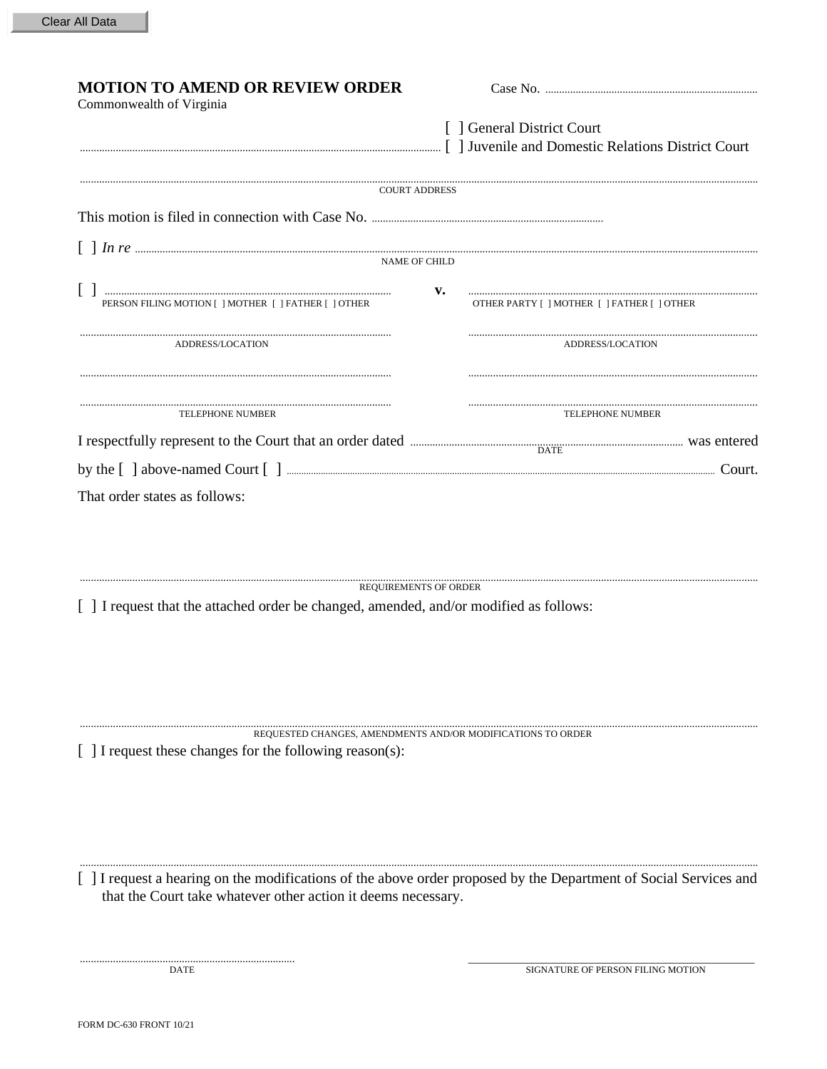| [ ] General District Court<br>Juvenile and Domestic Relations District Court [9] Juvenile and Domestic Relations District Court<br><b>COURT ADDRESS</b><br><b>NAME OF CHILD</b><br>v.<br>PERSON FILING MOTION [ ] MOTHER [ ] FATHER [ ] OTHER<br>OTHER PARTY [ ] MOTHER [ ] FATHER [ ] OTHER<br>ADDRESS/LOCATION<br>ADDRESS/LOCATION<br><b>TELEPHONE NUMBER</b><br><b>TELEPHONE NUMBER</b><br>That order states as follows:<br><b>REQUIREMENTS OF ORDER</b> | <b>MOTION TO AMEND OR REVIEW ORDER</b><br>Commonwealth of Virginia |  |
|-------------------------------------------------------------------------------------------------------------------------------------------------------------------------------------------------------------------------------------------------------------------------------------------------------------------------------------------------------------------------------------------------------------------------------------------------------------|--------------------------------------------------------------------|--|
|                                                                                                                                                                                                                                                                                                                                                                                                                                                             |                                                                    |  |
| I respectfully represent to the Court that an order dated <b>MACCONTEGO CONTEGO CONTEGO CONTEGO CONTEGO CONTEGO CONTEGO CONTEGO CONTEGO CONTEGO CONTEGO CONTEGO CONTEGO CONTEGO CONTEGO CONTEGO CONTEGO CONTEGO CONTEGO CONTEGO </b>                                                                                                                                                                                                                        |                                                                    |  |
|                                                                                                                                                                                                                                                                                                                                                                                                                                                             |                                                                    |  |
|                                                                                                                                                                                                                                                                                                                                                                                                                                                             |                                                                    |  |
|                                                                                                                                                                                                                                                                                                                                                                                                                                                             |                                                                    |  |
|                                                                                                                                                                                                                                                                                                                                                                                                                                                             |                                                                    |  |
|                                                                                                                                                                                                                                                                                                                                                                                                                                                             |                                                                    |  |
|                                                                                                                                                                                                                                                                                                                                                                                                                                                             |                                                                    |  |
|                                                                                                                                                                                                                                                                                                                                                                                                                                                             |                                                                    |  |
|                                                                                                                                                                                                                                                                                                                                                                                                                                                             |                                                                    |  |
|                                                                                                                                                                                                                                                                                                                                                                                                                                                             |                                                                    |  |
| [ ] I request that the attached order be changed, amended, and/or modified as follows:                                                                                                                                                                                                                                                                                                                                                                      |                                                                    |  |

REQUESTED CHANGES, AMENDMENTS AND/OR MODIFICATIONS TO ORDER

[ ] I request these changes for the following reason(s):

[ ] I request a hearing on the modifications of the above order proposed by the Department of Social Services and that the Court take whatever other action it deems necessary.

SIGNATURE OF PERSON FILING MOTION